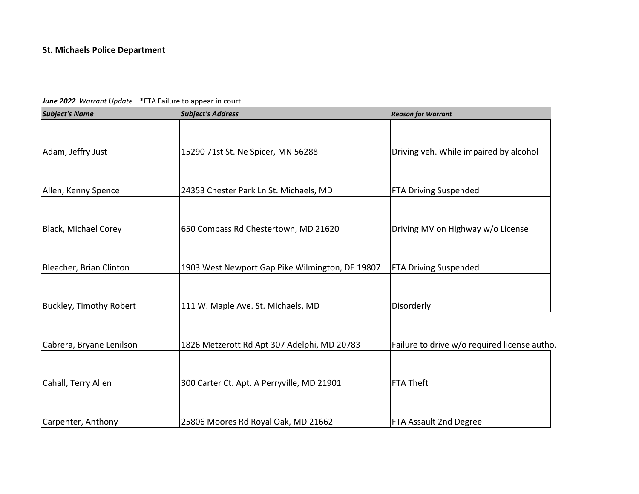| <b>Subject's Name</b>          | <b>Subject's Address</b>                        | <b>Reason for Warrant</b>                    |
|--------------------------------|-------------------------------------------------|----------------------------------------------|
|                                |                                                 |                                              |
| Adam, Jeffry Just              | 15290 71st St. Ne Spicer, MN 56288              | Driving veh. While impaired by alcohol       |
|                                |                                                 |                                              |
| Allen, Kenny Spence            | 24353 Chester Park Ln St. Michaels, MD          | <b>FTA Driving Suspended</b>                 |
|                                |                                                 |                                              |
| <b>Black, Michael Corey</b>    | 650 Compass Rd Chestertown, MD 21620            | Driving MV on Highway w/o License            |
|                                |                                                 |                                              |
| Bleacher, Brian Clinton        | 1903 West Newport Gap Pike Wilmington, DE 19807 | <b>FTA Driving Suspended</b>                 |
|                                |                                                 |                                              |
| <b>Buckley, Timothy Robert</b> | 111 W. Maple Ave. St. Michaels, MD              | Disorderly                                   |
|                                |                                                 |                                              |
| Cabrera, Bryane Lenilson       | 1826 Metzerott Rd Apt 307 Adelphi, MD 20783     | Failure to drive w/o required license autho. |
|                                |                                                 |                                              |
| Cahall, Terry Allen            | 300 Carter Ct. Apt. A Perryville, MD 21901      | <b>FTA Theft</b>                             |
|                                |                                                 |                                              |
| Carpenter, Anthony             | 25806 Moores Rd Royal Oak, MD 21662             | FTA Assault 2nd Degree                       |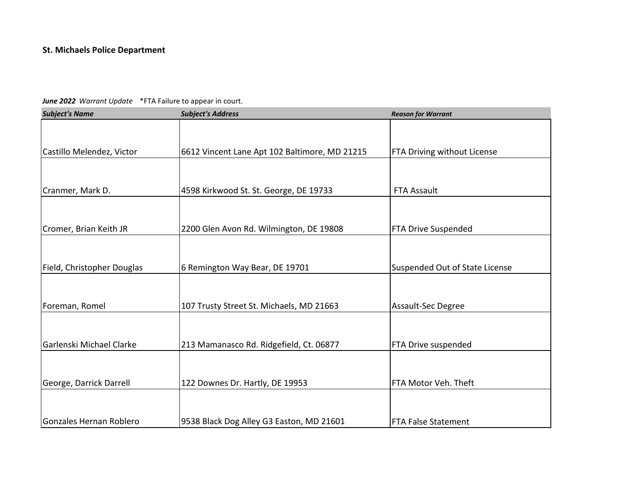| <b>Subject's Name</b>      | <b>Subject's Address</b>                      | <b>Reason for Warrant</b>      |
|----------------------------|-----------------------------------------------|--------------------------------|
|                            |                                               |                                |
| Castillo Melendez, Victor  | 6612 Vincent Lane Apt 102 Baltimore, MD 21215 | FTA Driving without License    |
|                            |                                               |                                |
| Cranmer, Mark D.           | 4598 Kirkwood St. St. George, DE 19733        | <b>FTA Assault</b>             |
|                            |                                               |                                |
| Cromer, Brian Keith JR     | 2200 Glen Avon Rd. Wilmington, DE 19808       | <b>FTA Drive Suspended</b>     |
|                            |                                               |                                |
| Field, Christopher Douglas | 6 Remington Way Bear, DE 19701                | Suspended Out of State License |
|                            |                                               |                                |
| Foreman, Romel             | 107 Trusty Street St. Michaels, MD 21663      | Assault-Sec Degree             |
|                            |                                               |                                |
| Garlenski Michael Clarke   | 213 Mamanasco Rd. Ridgefield, Ct. 06877       | FTA Drive suspended            |
|                            |                                               |                                |
| George, Darrick Darrell    | 122 Downes Dr. Hartly, DE 19953               | FTA Motor Veh. Theft           |
|                            |                                               |                                |
| Gonzales Hernan Roblero    | 9538 Black Dog Alley G3 Easton, MD 21601      | <b>FTA False Statement</b>     |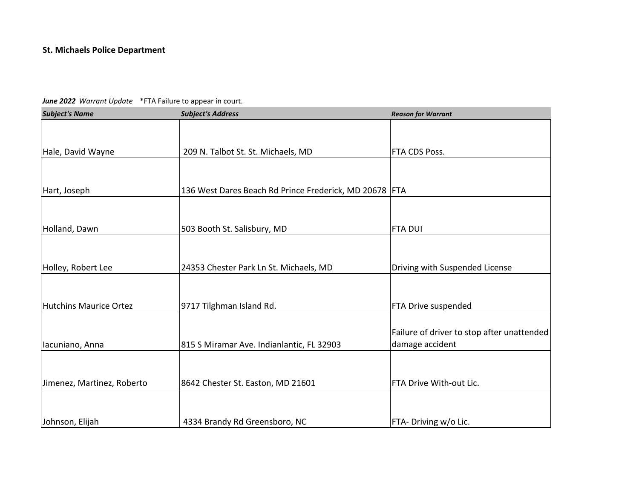| <b>Subject's Name</b>      | <b>Subject's Address</b>                                 | <b>Reason for Warrant</b>                  |
|----------------------------|----------------------------------------------------------|--------------------------------------------|
|                            |                                                          |                                            |
| Hale, David Wayne          | 209 N. Talbot St. St. Michaels, MD                       | FTA CDS Poss.                              |
|                            |                                                          |                                            |
| Hart, Joseph               | 136 West Dares Beach Rd Prince Frederick, MD 20678   FTA |                                            |
|                            |                                                          |                                            |
| Holland, Dawn              | 503 Booth St. Salisbury, MD                              | <b>FTA DUI</b>                             |
|                            |                                                          |                                            |
| Holley, Robert Lee         | 24353 Chester Park Ln St. Michaels, MD                   | Driving with Suspended License             |
|                            |                                                          |                                            |
| Hutchins Maurice Ortez     | 9717 Tilghman Island Rd.                                 | FTA Drive suspended                        |
|                            |                                                          | Failure of driver to stop after unattended |
| Iacuniano, Anna            | 815 S Miramar Ave. Indianlantic, FL 32903                | damage accident                            |
|                            |                                                          |                                            |
| Jimenez, Martinez, Roberto | 8642 Chester St. Easton, MD 21601                        | FTA Drive With-out Lic.                    |
|                            |                                                          |                                            |
| Johnson, Elijah            | 4334 Brandy Rd Greensboro, NC                            | FTA- Driving w/o Lic.                      |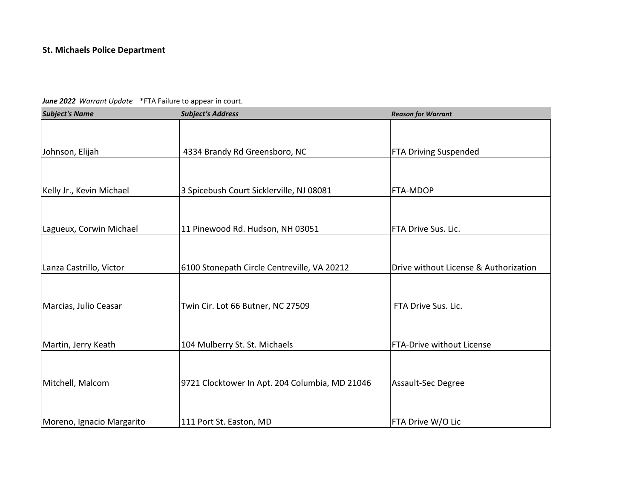| <b>Subject's Name</b>     | <b>Subject's Address</b>                       | <b>Reason for Warrant</b>             |
|---------------------------|------------------------------------------------|---------------------------------------|
|                           |                                                |                                       |
| Johnson, Elijah           | 4334 Brandy Rd Greensboro, NC                  | <b>FTA Driving Suspended</b>          |
|                           |                                                |                                       |
| Kelly Jr., Kevin Michael  | 3 Spicebush Court Sicklerville, NJ 08081       | FTA-MDOP                              |
|                           |                                                |                                       |
| Lagueux, Corwin Michael   | 11 Pinewood Rd. Hudson, NH 03051               | FTA Drive Sus. Lic.                   |
|                           |                                                |                                       |
| Lanza Castrillo, Victor   | 6100 Stonepath Circle Centreville, VA 20212    | Drive without License & Authorization |
|                           |                                                |                                       |
| Marcias, Julio Ceasar     | Twin Cir. Lot 66 Butner, NC 27509              | FTA Drive Sus. Lic.                   |
|                           |                                                |                                       |
| Martin, Jerry Keath       | 104 Mulberry St. St. Michaels                  | <b>FTA-Drive without License</b>      |
|                           |                                                |                                       |
| Mitchell, Malcom          | 9721 Clocktower In Apt. 204 Columbia, MD 21046 | Assault-Sec Degree                    |
|                           |                                                |                                       |
| Moreno, Ignacio Margarito | 111 Port St. Easton, MD                        | FTA Drive W/O Lic                     |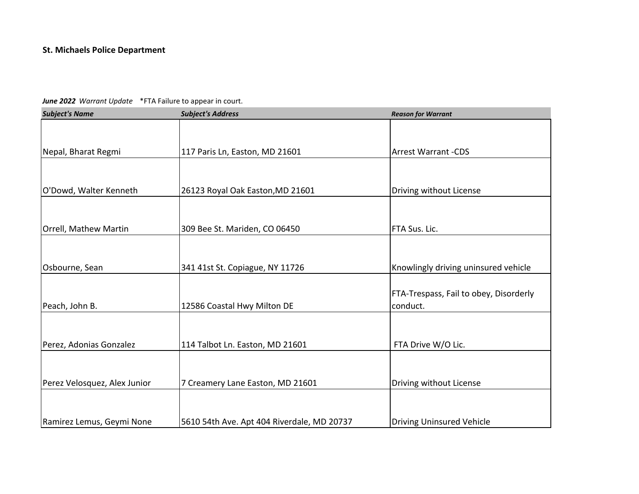| <b>Subject's Name</b>        | <b>Subject's Address</b>                   | <b>Reason for Warrant</b>              |
|------------------------------|--------------------------------------------|----------------------------------------|
|                              |                                            |                                        |
| Nepal, Bharat Regmi          | 117 Paris Ln, Easton, MD 21601             | <b>Arrest Warrant -CDS</b>             |
|                              |                                            |                                        |
|                              |                                            |                                        |
| O'Dowd, Walter Kenneth       | 26123 Royal Oak Easton, MD 21601           | Driving without License                |
|                              |                                            |                                        |
| Orrell, Mathew Martin        | 309 Bee St. Mariden, CO 06450              | FTA Sus. Lic.                          |
|                              |                                            |                                        |
| Osbourne, Sean               | 341 41st St. Copiague, NY 11726            | Knowlingly driving uninsured vehicle   |
|                              |                                            |                                        |
|                              |                                            | FTA-Trespass, Fail to obey, Disorderly |
| Peach, John B.               | 12586 Coastal Hwy Milton DE                | conduct.                               |
|                              |                                            |                                        |
|                              |                                            |                                        |
| Perez, Adonias Gonzalez      | 114 Talbot Ln. Easton, MD 21601            | FTA Drive W/O Lic.                     |
|                              |                                            |                                        |
| Perez Velosquez, Alex Junior | 7 Creamery Lane Easton, MD 21601           | Driving without License                |
|                              |                                            |                                        |
|                              |                                            |                                        |
| Ramirez Lemus, Geymi None    | 5610 54th Ave. Apt 404 Riverdale, MD 20737 | <b>Driving Uninsured Vehicle</b>       |